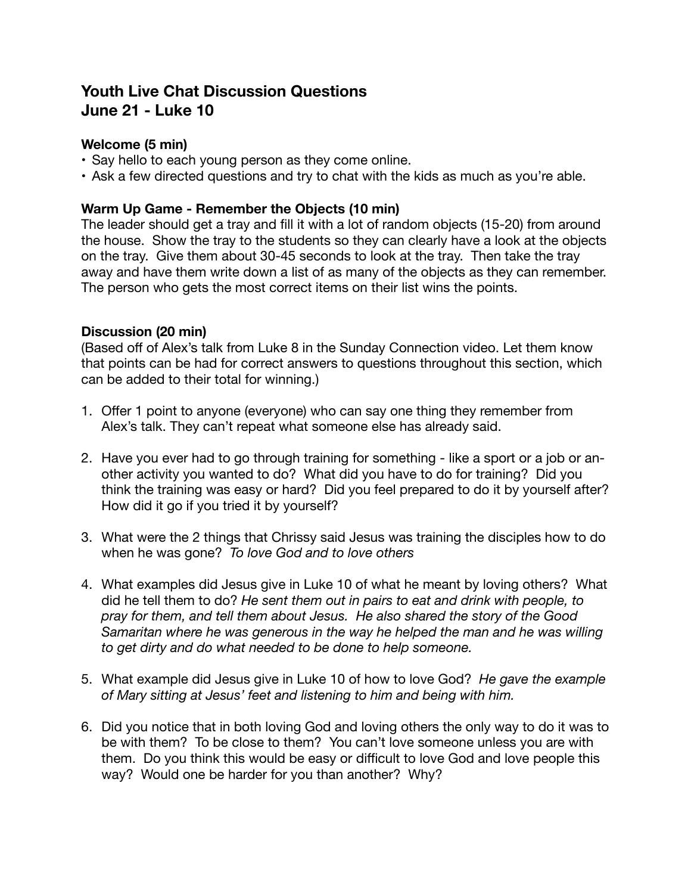# **Youth Live Chat Discussion Questions June 21 - Luke 10**

## **Welcome (5 min)**

- Say hello to each young person as they come online.
- Ask a few directed questions and try to chat with the kids as much as you're able.

### **Warm Up Game - Remember the Objects (10 min)**

The leader should get a tray and fill it with a lot of random objects (15-20) from around the house. Show the tray to the students so they can clearly have a look at the objects on the tray. Give them about 30-45 seconds to look at the tray. Then take the tray away and have them write down a list of as many of the objects as they can remember. The person who gets the most correct items on their list wins the points.

#### **Discussion (20 min)**

(Based off of Alex's talk from Luke 8 in the Sunday Connection video. Let them know that points can be had for correct answers to questions throughout this section, which can be added to their total for winning.)

- 1. Offer 1 point to anyone (everyone) who can say one thing they remember from Alex's talk. They can't repeat what someone else has already said.
- 2. Have you ever had to go through training for something like a sport or a job or another activity you wanted to do? What did you have to do for training? Did you think the training was easy or hard? Did you feel prepared to do it by yourself after? How did it go if you tried it by yourself?
- 3. What were the 2 things that Chrissy said Jesus was training the disciples how to do when he was gone? *To love God and to love others*
- 4. What examples did Jesus give in Luke 10 of what he meant by loving others? What did he tell them to do? *He sent them out in pairs to eat and drink with people, to pray for them, and tell them about Jesus. He also shared the story of the Good Samaritan where he was generous in the way he helped the man and he was willing to get dirty and do what needed to be done to help someone.*
- 5. What example did Jesus give in Luke 10 of how to love God? *He gave the example of Mary sitting at Jesus' feet and listening to him and being with him.*
- 6. Did you notice that in both loving God and loving others the only way to do it was to be with them? To be close to them? You can't love someone unless you are with them. Do you think this would be easy or difficult to love God and love people this way? Would one be harder for you than another? Why?